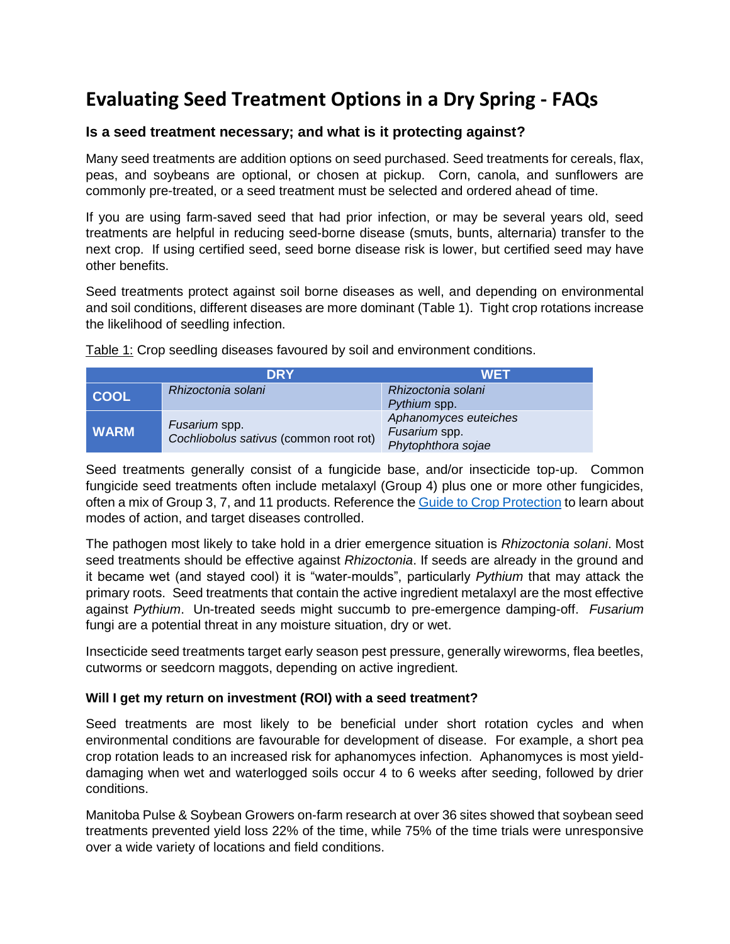## **Evaluating Seed Treatment Options in a Dry Spring - FAQs**

## **Is a seed treatment necessary; and what is it protecting against?**

Many seed treatments are addition options on seed purchased. Seed treatments for cereals, flax, peas, and soybeans are optional, or chosen at pickup. Corn, canola, and sunflowers are commonly pre-treated, or a seed treatment must be selected and ordered ahead of time.

If you are using farm-saved seed that had prior infection, or may be several years old, seed treatments are helpful in reducing seed-borne disease (smuts, bunts, alternaria) transfer to the next crop. If using certified seed, seed borne disease risk is lower, but certified seed may have other benefits.

Seed treatments protect against soil borne diseases as well, and depending on environmental and soil conditions, different diseases are more dominant (Table 1). Tight crop rotations increase the likelihood of seedling infection.

|             | <b>DRY</b>                                              | <b>WET</b>                                                   |
|-------------|---------------------------------------------------------|--------------------------------------------------------------|
| <b>COOL</b> | Rhizoctonia solani                                      | Rhizoctonia solani<br>Pythium spp.                           |
| <b>WARM</b> | Fusarium spp.<br>Cochliobolus sativus (common root rot) | Aphanomyces euteiches<br>Fusarium spp.<br>Phytophthora sojae |

Table 1: Crop seedling diseases favoured by soil and environment conditions.

Seed treatments generally consist of a fungicide base, and/or insecticide top-up. Common fungicide seed treatments often include metalaxyl (Group 4) plus one or more other fungicides, often a mix of Group 3, 7, and 11 products. Reference the [Guide to Crop Protection](https://www.gov.mb.ca/agriculture/crops/guides-and-publications/pubs/guide-crop-protection-2021.pdf) to learn about modes of action, and target diseases controlled.

The pathogen most likely to take hold in a drier emergence situation is *Rhizoctonia solani*. Most seed treatments should be effective against *Rhizoctonia*. If seeds are already in the ground and it became wet (and stayed cool) it is "water-moulds", particularly *Pythium* that may attack the primary roots. Seed treatments that contain the active ingredient metalaxyl are the most effective against *Pythium*. Un-treated seeds might succumb to pre-emergence damping-off. *Fusarium* fungi are a potential threat in any moisture situation, dry or wet.

Insecticide seed treatments target early season pest pressure, generally wireworms, flea beetles, cutworms or seedcorn maggots, depending on active ingredient.

## **Will I get my return on investment (ROI) with a seed treatment?**

Seed treatments are most likely to be beneficial under short rotation cycles and when environmental conditions are favourable for development of disease. For example, a short pea crop rotation leads to an increased risk for aphanomyces infection. Aphanomyces is most yielddamaging when wet and waterlogged soils occur 4 to 6 weeks after seeding, followed by drier conditions.

Manitoba Pulse & Soybean Growers on-farm research at over 36 sites showed that soybean seed treatments prevented yield loss 22% of the time, while 75% of the time trials were unresponsive over a wide variety of locations and field conditions.